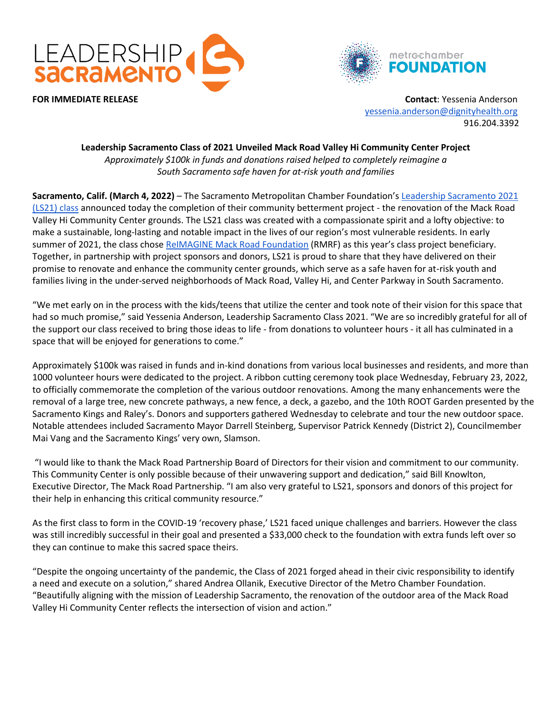



**FOR IMMEDIATE RELEASE Contact**: Yessenia Anderson [yessenia.anderson@dignityhealth.org](mailto:yessenia.anderson@dignityhealth.org) 916.204.3392

## **Leadership Sacramento Class of 2021 Unveiled Mack Road Valley Hi Community Center Project** *Approximately \$100k in funds and donations raised helped to completely reimagine a South Sacramento safe haven for at-risk youth and families*

**Sacramento, Calif. (March 4, 2022)** – The Sacramento Metropolitan Chamber Foundation's [Leadership Sacramento 2021](https://metrochamber.org/foundation/programs/leadership-sacramento/)  [\(LS21\) class](https://metrochamber.org/foundation/programs/leadership-sacramento/) announced today the completion of their community betterment project - the renovation of the Mack Road Valley Hi Community Center grounds. The LS21 class was created with a compassionate spirit and a lofty objective: to make a sustainable, long-lasting and notable impact in the lives of our region's most vulnerable residents. In early summer of 2021, the class chose [ReIMAGINE Mack Road Foundation](https://mackroadpartnership.com/reimagine-foundation/) (RMRF) as this year's class project beneficiary. Together, in partnership with project sponsors and donors, LS21 is proud to share that they have delivered on their promise to renovate and enhance the community center grounds, which serve as a safe haven for at-risk youth and families living in the under-served neighborhoods of Mack Road, Valley Hi, and Center Parkway in South Sacramento.

"We met early on in the process with the kids/teens that utilize the center and took note of their vision for this space that had so much promise," said Yessenia Anderson, Leadership Sacramento Class 2021. "We are so incredibly grateful for all of the support our class received to bring those ideas to life - from donations to volunteer hours - it all has culminated in a space that will be enjoyed for generations to come."

Approximately \$100k was raised in funds and in-kind donations from various local businesses and residents, and more than 1000 volunteer hours were dedicated to the project. A ribbon cutting ceremony took place Wednesday, February 23, 2022, to officially commemorate the completion of the various outdoor renovations. Among the many enhancements were the removal of a large tree, new concrete pathways, a new fence, a deck, a gazebo, and the 10th ROOT Garden presented by the Sacramento Kings and Raley's. Donors and supporters gathered Wednesday to celebrate and tour the new outdoor space. Notable attendees included Sacramento Mayor Darrell Steinberg, Supervisor Patrick Kennedy (District 2), Councilmember Mai Vang and the Sacramento Kings' very own, Slamson.

"I would like to thank the Mack Road Partnership Board of Directors for their vision and commitment to our community. This Community Center is only possible because of their unwavering support and dedication," said Bill Knowlton, Executive Director, The Mack Road Partnership. "I am also very grateful to LS21, sponsors and donors of this project for their help in enhancing this critical community resource."

As the first class to form in the COVID-19 'recovery phase,' LS21 faced unique challenges and barriers. However the class was still incredibly successful in their goal and presented a \$33,000 check to the foundation with extra funds left over so they can continue to make this sacred space theirs.

"Despite the ongoing uncertainty of the pandemic, the Class of 2021 forged ahead in their civic responsibility to identify a need and execute on a solution," shared Andrea Ollanik, Executive Director of the Metro Chamber Foundation. "Beautifully aligning with the mission of Leadership Sacramento, the renovation of the outdoor area of the Mack Road Valley Hi Community Center reflects the intersection of vision and action."